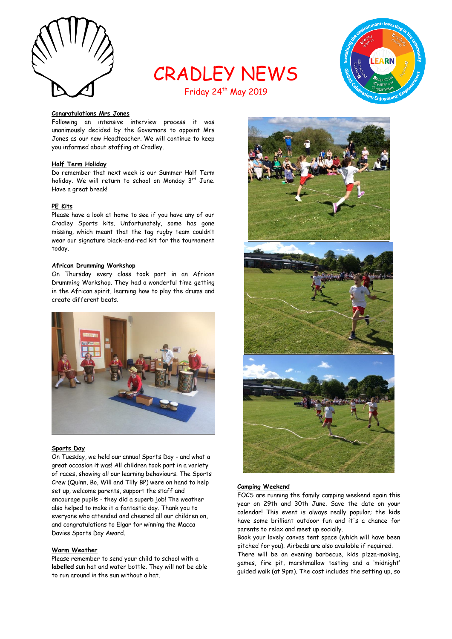

# CRADLEY NEWS



# Friday 24<sup>th</sup> May 2019

#### **Congratulations Mrs Jones**

Following an intensive interview process it was unanimously decided by the Governors to appoint Mrs Jones as our new Headteacher. We will continue to keep you informed about staffing at Cradley.

## **Half Term Holiday**

Do remember that next week is our Summer Half Term holiday. We will return to school on Monday 3rd June. Have a great break!

#### **PE Kits**

Please have a look at home to see if you have any of our Cradley Sports kits. Unfortunately, some has gone missing, which meant that the tag rugby team couldn't wear our signature black-and-red kit for the tournament today.

#### **African Drumming Workshop**

On Thursday every class took part in an African Drumming Workshop. They had a wonderful time getting in the African spirit, learning how to play the drums and create different beats.



#### **Sports Day**

On Tuesday, we held our annual Sports Day - and what a great occasion it was! All children took part in a variety of races, showing all our learning behaviours. The Sports Crew (Quinn, Bo, Will and Tilly BP) were on hand to help set up, welcome parents, support the staff and encourage pupils - they did a superb job! The weather also helped to make it a fantastic day. Thank you to everyone who attended and cheered all our children on, and congratulations to Elgar for winning the Macca Davies Sports Day Award.

#### **Warm Weather**

Please remember to send your child to school with a **labelled** sun hat and water bottle. They will not be able to run around in the sun without a hat.



#### **Camping Weekend**

FOCS are running the family camping weekend again this year on 29th and 30th June. Save the date on your calendar! This event is always really popular; the kids have some brilliant outdoor fun and it's a chance for parents to relax and meet up socially.

Book your lovely canvas tent space (which will have been pitched for you). Airbeds are also available if required.

There will be an evening barbecue, kids pizza-making, games, fire pit, marshmallow tasting and a 'midnight' guided walk (at 9pm). The cost includes the setting up, so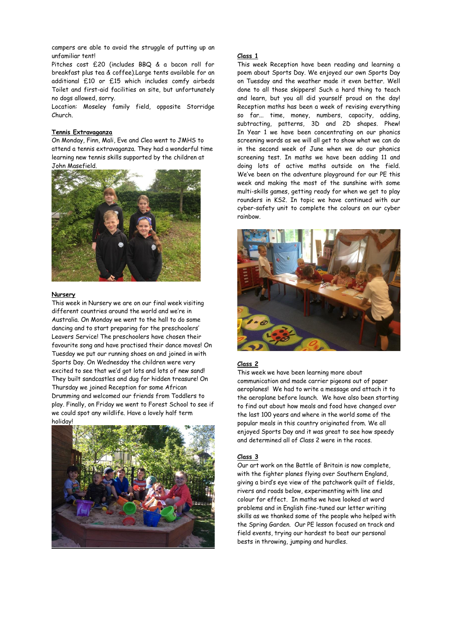campers are able to avoid the struggle of putting up an unfamiliar tent!

Pitches cost £20 (includes BBQ & a bacon roll for breakfast plus tea & coffee).Large tents available for an additional £10 or £15 which includes comfy airbeds Toilet and first-aid facilities on site, but unfortunately no dogs allowed, sorry.

Location: Moseley family field, opposite Storridge Church.

#### **Tennis Extravaganza**

On Monday, Finn, Mali, Eve and Cleo went to JMHS to attend a tennis extravaganza. They had a wonderful time learning new tennis skills supported by the children at John Masefield.



#### **Nursery**

This week in Nursery we are on our final week visiting different countries around the world and we're in Australia. On Monday we went to the hall to do some dancing and to start preparing for the preschoolers' Leavers Service! The preschoolers have chosen their favourite song and have practised their dance moves! On Tuesday we put our running shoes on and joined in with Sports Day. On Wednesday the children were very excited to see that we'd got lots and lots of new sand! They built sandcastles and dug for hidden treasure! On Thursday we joined Reception for some African Drumming and welcomed our friends from Toddlers to play. Finally, on Friday we went to Forest School to see if we could spot any wildlife. Have a lovely half term holiday!



#### **Class 1**

This week Reception have been reading and learning a poem about Sports Day. We enjoyed our own Sports Day on Tuesday and the weather made it even better. Well done to all those skippers! Such a hard thing to teach and learn, but you all did yourself proud on the day! Reception maths has been a week of revising everything so far... time, money, numbers, capacity, adding, subtracting, patterns, 3D and 2D shapes. Phew! In Year 1 we have been concentrating on our phonics screening words as we will all get to show what we can do in the second week of June when we do our phonics screening test. In maths we have been adding 11 and doing lots of active maths outside on the field. We've been on the adventure playground for our PE this week and making the most of the sunshine with some multi-skills games, getting ready for when we get to play rounders in KS2. In topic we have continued with our cyber-safety unit to complete the colours on our cyber rainbow.



# **Class 2**

This week we have been learning more about communication and made carrier pigeons out of paper aeroplanes! We had to write a message and attach it to the aeroplane before launch. We have also been starting to find out about how meals and food have changed over the last 100 years and where in the world some of the popular meals in this country originated from. We all enjoyed Sports Day and it was great to see how speedy and determined all of Class 2 were in the races.

#### **Class 3**

Our art work on the Battle of Britain is now complete, with the fighter planes flying over Southern England, giving a bird's eye view of the patchwork quilt of fields, rivers and roads below, experimenting with line and colour for effect. In maths we have looked at word problems and in English fine-tuned our letter writing skills as we thanked some of the people who helped with the Spring Garden. Our PE lesson focused on track and field events, trying our hardest to beat our personal bests in throwing, jumping and hurdles.